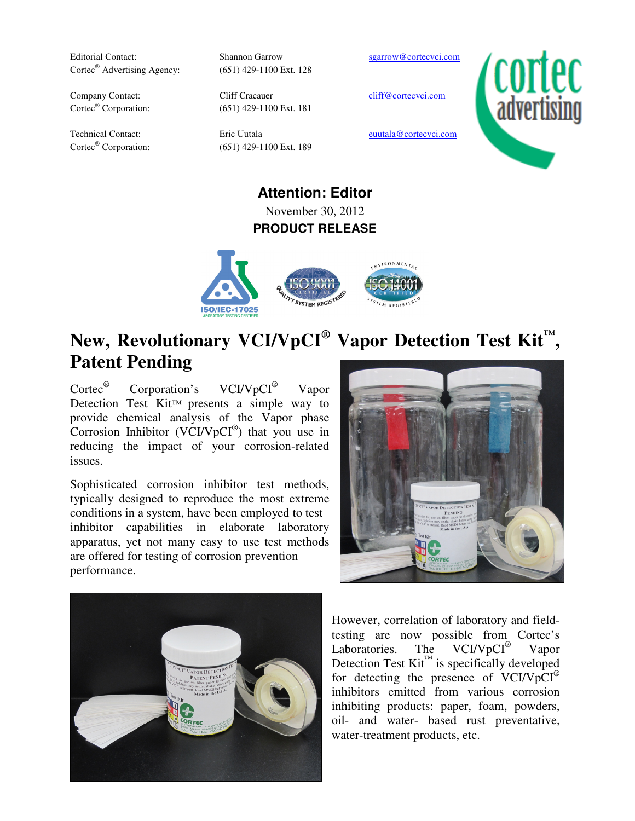Editorial Contact: Shannon Garrow sgarrow@cortecvci.com Cortec<sup>®</sup> Advertising Agency:

Cortec<sup>®</sup> Corporation:

Cortec<sup>®</sup> Corporation:

(651) 429-1100 Ext. 128

Company Contact: Cliff Cracauer cliff@cortecvci.com (651) 429-1100 Ext. 181

(651) 429-1100 Ext. 189

Technical Contact: Eric Uutala eurala eurala extraordiscussion eurala eurala eurala eurala eurala eurala europ



**Attention: Editor** November 30, 2012 **PRODUCT RELEASE** 



## **New, Revolutionary VCI/VpCI® Vapor Detection Test Kit™ , Patent Pending**

Cortec® Corporation's VCI/VpCI® Vapor Detection Test Kit™ presents a simple way to provide chemical analysis of the Vapor phase Corrosion Inhibitor (VCI/VpCI<sup>®</sup>) that you use in reducing the impact of your corrosion-related issues.

Sophisticated corrosion inhibitor test methods, typically designed to reproduce the most extreme conditions in a system, have been employed to test inhibitor capabilities in elaborate laboratory apparatus, yet not many easy to use test methods are offered for testing of corrosion prevention performance.





However, correlation of laboratory and fieldtesting are now possible from Cortec's Laboratories. The VCI/VpCI<sup>®</sup> Vapor Detection Test  $\text{Kit}^{\text{TM}}$  is specifically developed for detecting the presence of VCI/VpCI® inhibitors emitted from various corrosion inhibiting products: paper, foam, powders, oil- and water- based rust preventative, water-treatment products, etc.